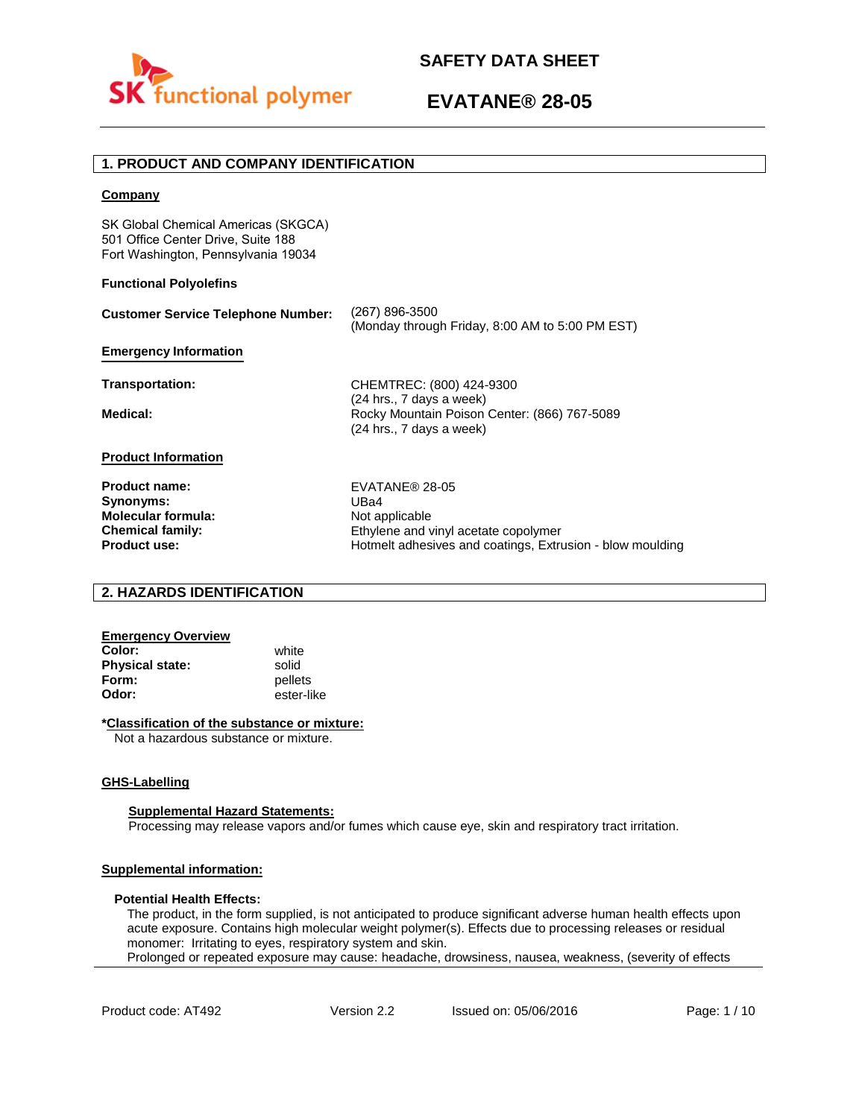

## **1. PRODUCT AND COMPANY IDENTIFICATION**

#### **Company**

SK Global Chemical Americas (SKGCA) 501 Office Center Drive, Suite 188 Fort Washington, Pennsylvania 19034

#### **Functional Polyolefins**

| <b>Customer Service Telephone Number:</b> | (267) 896-3500<br>(Monday through Friday, 8:00 AM to 5:00 PM EST)                                      |
|-------------------------------------------|--------------------------------------------------------------------------------------------------------|
| <b>Emergency Information</b>              |                                                                                                        |
| <b>Transportation:</b>                    | CHEMTREC: (800) 424-9300                                                                               |
| Medical:                                  | $(24$ hrs., 7 days a week)<br>Rocky Mountain Poison Center: (866) 767-5089<br>(24 hrs., 7 days a week) |
| <b>Product Information</b>                |                                                                                                        |
| <b>Product name:</b>                      | EVATANE® 28-05                                                                                         |
| Synonyms:                                 | UBa4                                                                                                   |
| <b>Molecular formula:</b>                 | Not applicable                                                                                         |
| <b>Chemical family:</b>                   | Ethylene and vinyl acetate copolymer                                                                   |
| <b>Product use:</b>                       | Hotmelt adhesives and coatings. Extrusion - blow moulding                                              |

## **2. HAZARDS IDENTIFICATION**

# **Emergency Overview**

**Color:** white **Physical state:** solid<br> **Form:** nellet **Form:** pellets<br> **Odor:** ester-li

**Odor:** ester-like

#### **\*Classification of the substance or mixture:**

Not a hazardous substance or mixture.

### **GHS-Labelling**

#### **Supplemental Hazard Statements:**

Processing may release vapors and/or fumes which cause eye, skin and respiratory tract irritation.

## **Supplemental information:**

#### **Potential Health Effects:**

The product, in the form supplied, is not anticipated to produce significant adverse human health effects upon acute exposure. Contains high molecular weight polymer(s). Effects due to processing releases or residual monomer: Irritating to eyes, respiratory system and skin. Prolonged or repeated exposure may cause: headache, drowsiness, nausea, weakness, (severity of effects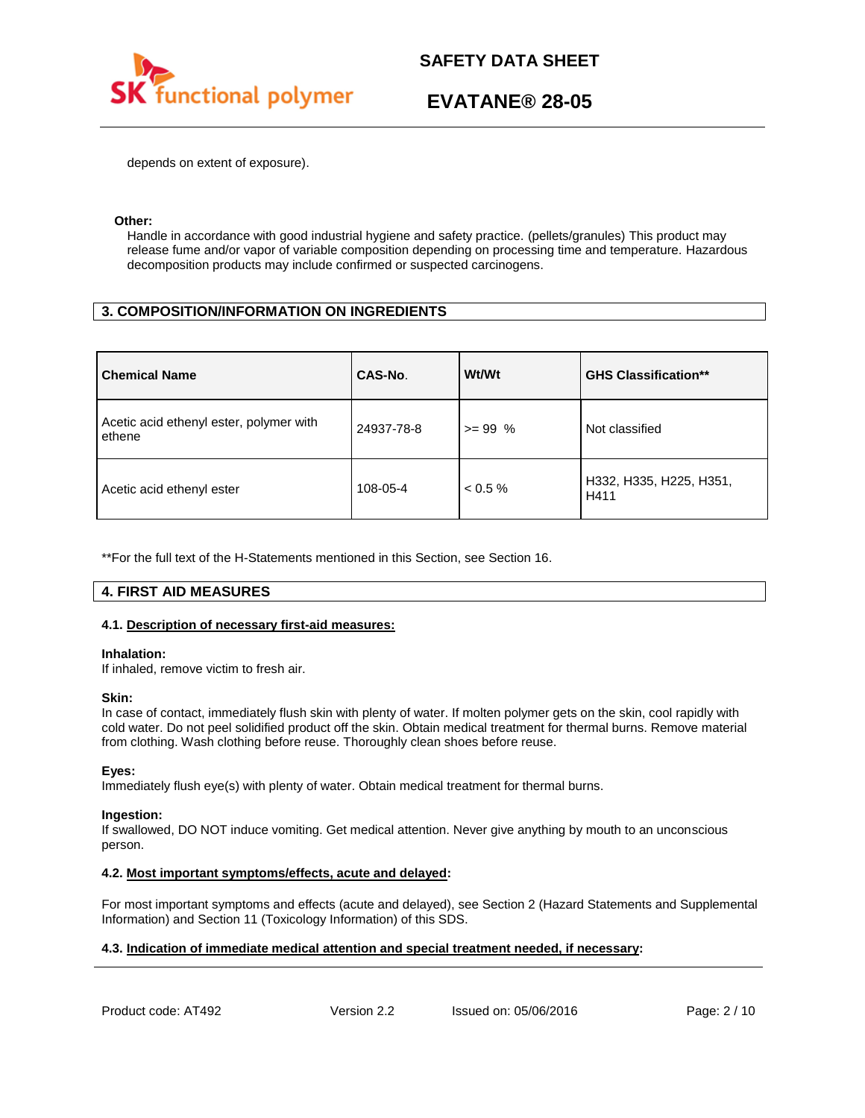

depends on extent of exposure).

#### **Other:**

Handle in accordance with good industrial hygiene and safety practice. (pellets/granules) This product may release fume and/or vapor of variable composition depending on processing time and temperature. Hazardous decomposition products may include confirmed or suspected carcinogens.

## **3. COMPOSITION/INFORMATION ON INGREDIENTS**

| <b>Chemical Name</b>                              | CAS-No.    | Wt/Wt      | <b>GHS Classification**</b>     |
|---------------------------------------------------|------------|------------|---------------------------------|
| Acetic acid ethenyl ester, polymer with<br>ethene | 24937-78-8 | $>= 99 %$  | Not classified                  |
| Acetic acid ethenyl ester                         | 108-05-4   | $< 0.5 \%$ | H332, H335, H225, H351,<br>H411 |

\*\*For the full text of the H-Statements mentioned in this Section, see Section 16.

## **4. FIRST AID MEASURES**

### **4.1. Description of necessary first-aid measures:**

#### **Inhalation:**

If inhaled, remove victim to fresh air.

#### **Skin:**

In case of contact, immediately flush skin with plenty of water. If molten polymer gets on the skin, cool rapidly with cold water. Do not peel solidified product off the skin. Obtain medical treatment for thermal burns. Remove material from clothing. Wash clothing before reuse. Thoroughly clean shoes before reuse.

### **Eyes:**

Immediately flush eye(s) with plenty of water. Obtain medical treatment for thermal burns.

#### **Ingestion:**

If swallowed, DO NOT induce vomiting. Get medical attention. Never give anything by mouth to an unconscious person.

### **4.2. Most important symptoms/effects, acute and delayed:**

For most important symptoms and effects (acute and delayed), see Section 2 (Hazard Statements and Supplemental Information) and Section 11 (Toxicology Information) of this SDS.

### **4.3. Indication of immediate medical attention and special treatment needed, if necessary:**

Product code: AT492 Version 2.2 Issued on: 05/06/2016 Page: 2/10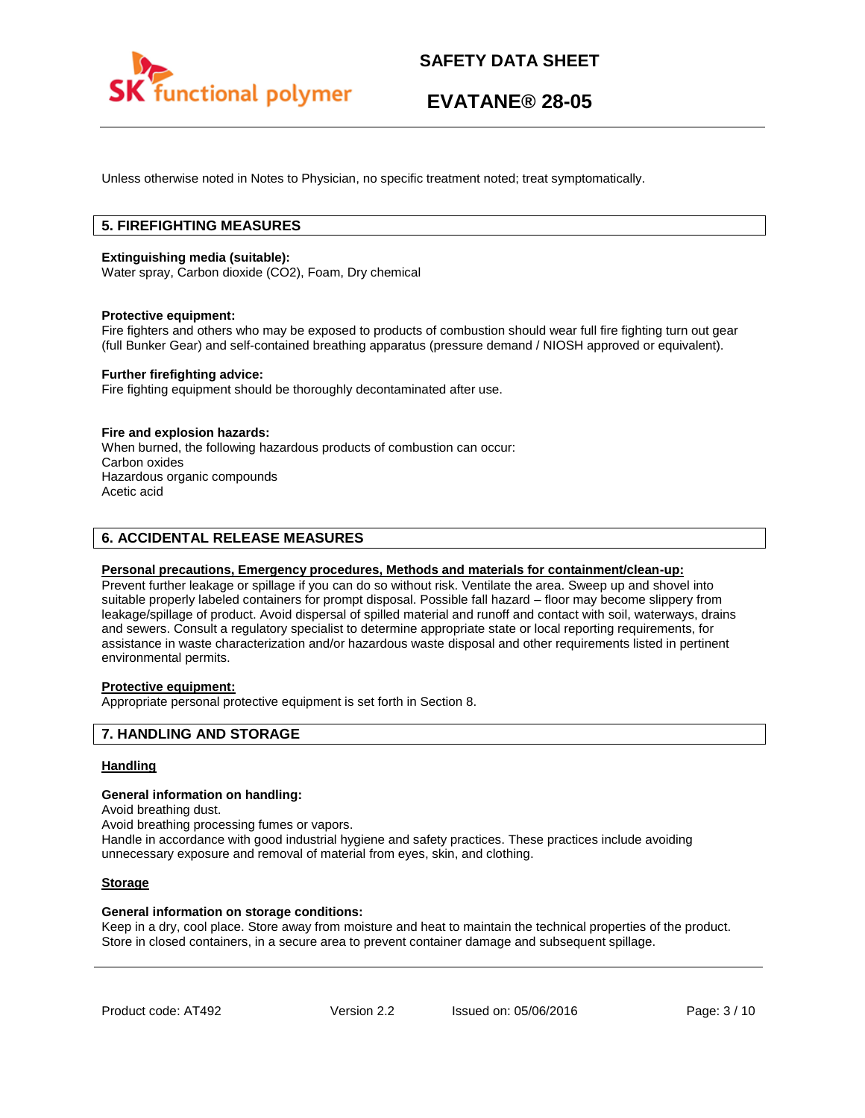

Unless otherwise noted in Notes to Physician, no specific treatment noted; treat symptomatically.

## **5. FIREFIGHTING MEASURES**

#### **Extinguishing media (suitable):**

Water spray, Carbon dioxide (CO2), Foam, Dry chemical

#### **Protective equipment:**

Fire fighters and others who may be exposed to products of combustion should wear full fire fighting turn out gear (full Bunker Gear) and self-contained breathing apparatus (pressure demand / NIOSH approved or equivalent).

#### **Further firefighting advice:**

Fire fighting equipment should be thoroughly decontaminated after use.

#### **Fire and explosion hazards:**

When burned, the following hazardous products of combustion can occur: Carbon oxides Hazardous organic compounds Acetic acid

## **6. ACCIDENTAL RELEASE MEASURES**

#### **Personal precautions, Emergency procedures, Methods and materials for containment/clean-up:**

Prevent further leakage or spillage if you can do so without risk. Ventilate the area. Sweep up and shovel into suitable properly labeled containers for prompt disposal. Possible fall hazard – floor may become slippery from leakage/spillage of product. Avoid dispersal of spilled material and runoff and contact with soil, waterways, drains and sewers. Consult a regulatory specialist to determine appropriate state or local reporting requirements, for assistance in waste characterization and/or hazardous waste disposal and other requirements listed in pertinent environmental permits.

### **Protective equipment:**

Appropriate personal protective equipment is set forth in Section 8.

### **7. HANDLING AND STORAGE**

#### **Handling**

#### **General information on handling:**

Avoid breathing dust.

Avoid breathing processing fumes or vapors.

Handle in accordance with good industrial hygiene and safety practices. These practices include avoiding unnecessary exposure and removal of material from eyes, skin, and clothing.

#### **Storage**

#### **General information on storage conditions:**

Keep in a dry, cool place. Store away from moisture and heat to maintain the technical properties of the product. Store in closed containers, in a secure area to prevent container damage and subsequent spillage.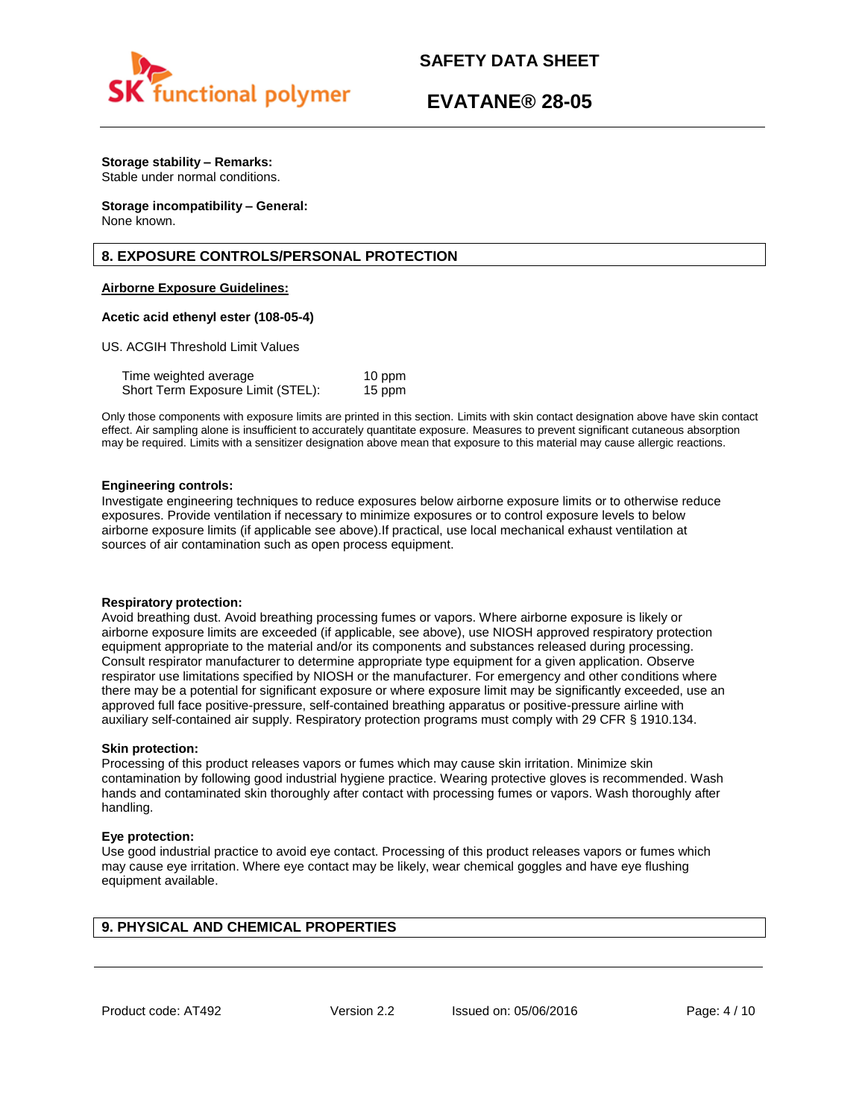

# **EVATANE® 28-05**

# **Storage stability – Remarks:**

Stable under normal conditions.

#### **Storage incompatibility – General:**  None known.

# **8. EXPOSURE CONTROLS/PERSONAL PROTECTION**

## **Airborne Exposure Guidelines:**

## **Acetic acid ethenyl ester (108-05-4)**

US. ACGIH Threshold Limit Values

| Time weighted average             | 10 ppm |
|-----------------------------------|--------|
| Short Term Exposure Limit (STEL): | 15 ppm |

Only those components with exposure limits are printed in this section. Limits with skin contact designation above have skin contact effect. Air sampling alone is insufficient to accurately quantitate exposure. Measures to prevent significant cutaneous absorption may be required. Limits with a sensitizer designation above mean that exposure to this material may cause allergic reactions.

### **Engineering controls:**

Investigate engineering techniques to reduce exposures below airborne exposure limits or to otherwise reduce exposures. Provide ventilation if necessary to minimize exposures or to control exposure levels to below airborne exposure limits (if applicable see above).If practical, use local mechanical exhaust ventilation at sources of air contamination such as open process equipment.

### **Respiratory protection:**

Avoid breathing dust. Avoid breathing processing fumes or vapors. Where airborne exposure is likely or airborne exposure limits are exceeded (if applicable, see above), use NIOSH approved respiratory protection equipment appropriate to the material and/or its components and substances released during processing. Consult respirator manufacturer to determine appropriate type equipment for a given application. Observe respirator use limitations specified by NIOSH or the manufacturer. For emergency and other conditions where there may be a potential for significant exposure or where exposure limit may be significantly exceeded, use an approved full face positive-pressure, self-contained breathing apparatus or positive-pressure airline with auxiliary self-contained air supply. Respiratory protection programs must comply with 29 CFR § 1910.134.

### **Skin protection:**

Processing of this product releases vapors or fumes which may cause skin irritation. Minimize skin contamination by following good industrial hygiene practice. Wearing protective gloves is recommended. Wash hands and contaminated skin thoroughly after contact with processing fumes or vapors. Wash thoroughly after handling.

### **Eye protection:**

Use good industrial practice to avoid eye contact. Processing of this product releases vapors or fumes which may cause eye irritation. Where eye contact may be likely, wear chemical goggles and have eye flushing equipment available.

# **9. PHYSICAL AND CHEMICAL PROPERTIES**

Product code: AT492 Version 2.2 Issued on: 05/06/2016 Page: 4/10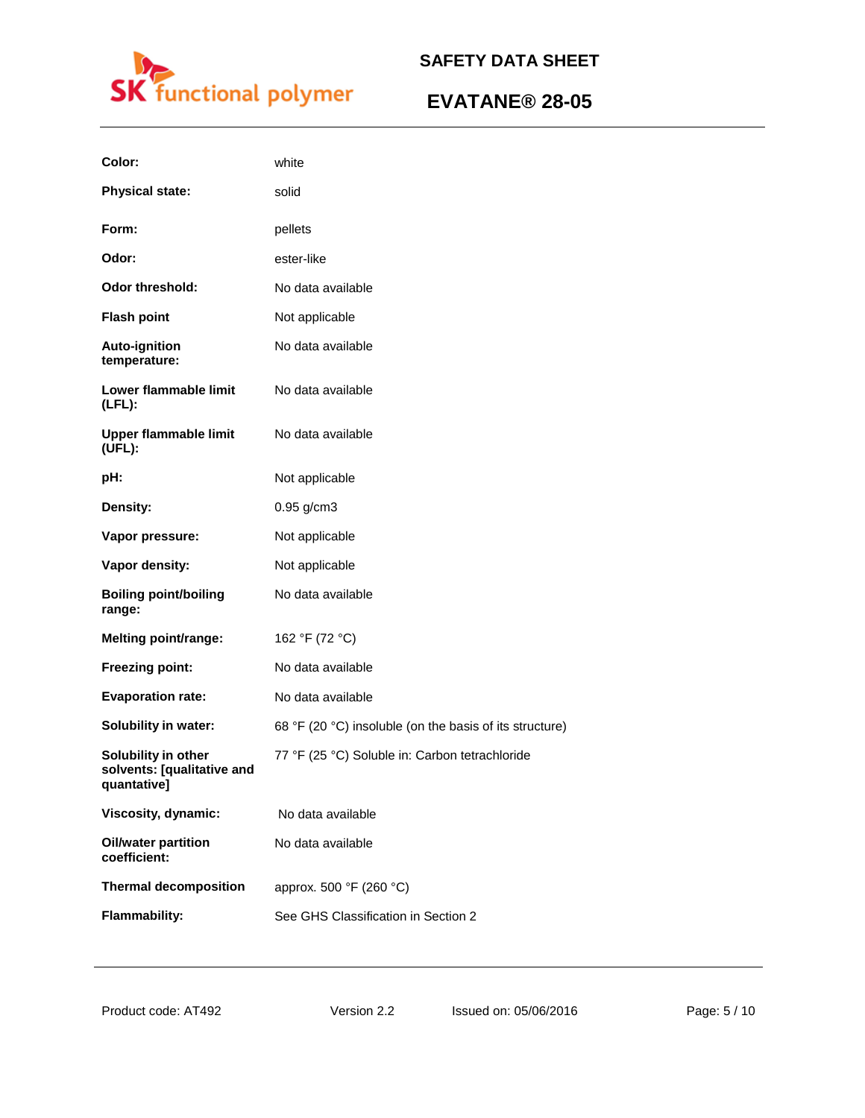

| Color:                                                           | white                                                   |
|------------------------------------------------------------------|---------------------------------------------------------|
| <b>Physical state:</b>                                           | solid                                                   |
| Form:                                                            | pellets                                                 |
| Odor:                                                            | ester-like                                              |
| <b>Odor threshold:</b>                                           | No data available                                       |
| <b>Flash point</b>                                               | Not applicable                                          |
| <b>Auto-ignition</b><br>temperature:                             | No data available                                       |
| Lower flammable limit<br>$(LFL)$ :                               | No data available                                       |
| <b>Upper flammable limit</b><br>(UFL):                           | No data available                                       |
| pH:                                                              | Not applicable                                          |
| Density:                                                         | $0.95$ g/cm3                                            |
| Vapor pressure:                                                  | Not applicable                                          |
| Vapor density:                                                   | Not applicable                                          |
| <b>Boiling point/boiling</b><br>range:                           | No data available                                       |
| <b>Melting point/range:</b>                                      | 162 °F (72 °C)                                          |
| Freezing point:                                                  | No data available                                       |
| <b>Evaporation rate:</b>                                         | No data available                                       |
| <b>Solubility in water:</b>                                      | 68 °F (20 °C) insoluble (on the basis of its structure) |
| Solubility in other<br>solvents: [qualitative and<br>quantative] | 77 °F (25 °C) Soluble in: Carbon tetrachloride          |
| Viscosity, dynamic:                                              | No data available                                       |
| <b>Oil/water partition</b><br>coefficient:                       | No data available                                       |
| <b>Thermal decomposition</b>                                     | approx. 500 °F (260 °C)                                 |
| <b>Flammability:</b>                                             | See GHS Classification in Section 2                     |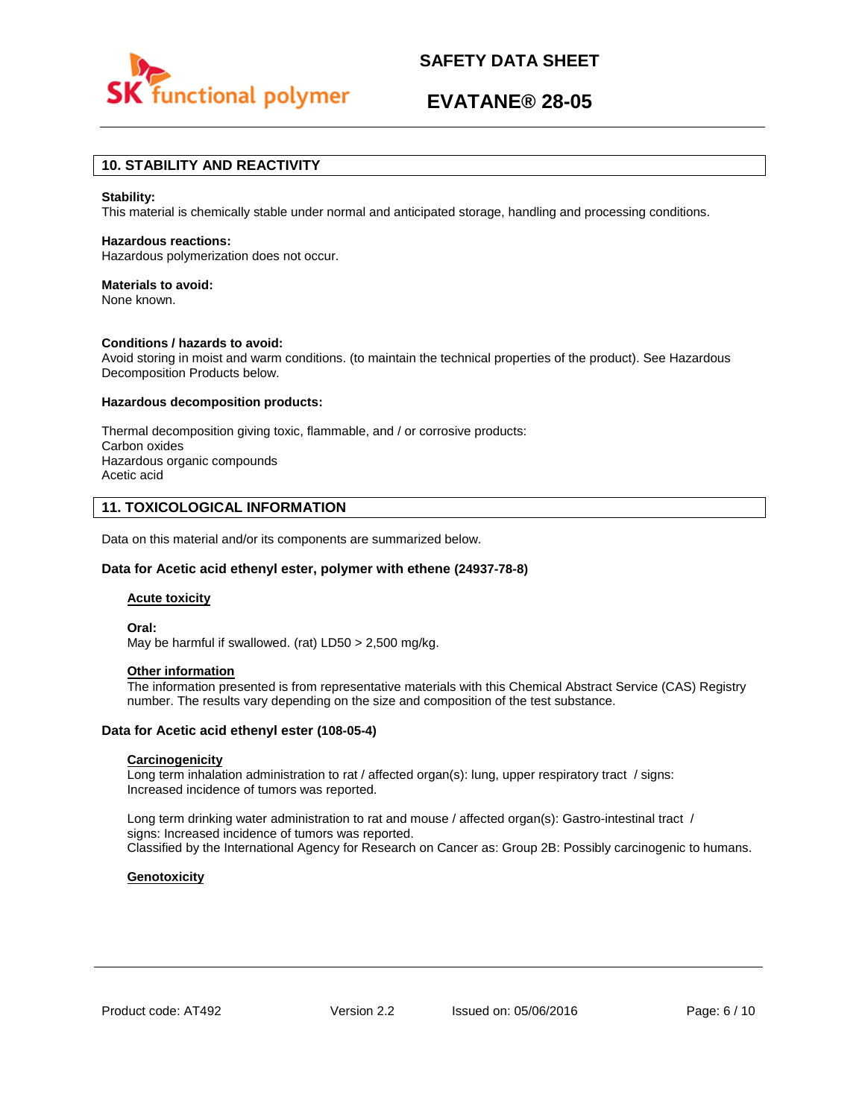

# **EVATANE® 28-05**

## **10. STABILITY AND REACTIVITY**

#### **Stability:**

This material is chemically stable under normal and anticipated storage, handling and processing conditions.

#### **Hazardous reactions:**

Hazardous polymerization does not occur.

#### **Materials to avoid:**

None known.

#### **Conditions / hazards to avoid:**

Avoid storing in moist and warm conditions. (to maintain the technical properties of the product). See Hazardous Decomposition Products below.

#### **Hazardous decomposition products:**

Thermal decomposition giving toxic, flammable, and / or corrosive products: Carbon oxides Hazardous organic compounds Acetic acid

### **11. TOXICOLOGICAL INFORMATION**

Data on this material and/or its components are summarized below.

#### **Data for Acetic acid ethenyl ester, polymer with ethene (24937-78-8)**

#### **Acute toxicity**

**Oral:**

May be harmful if swallowed. (rat) LD50 > 2,500 mg/kg.

### **Other information**

The information presented is from representative materials with this Chemical Abstract Service (CAS) Registry number. The results vary depending on the size and composition of the test substance.

#### **Data for Acetic acid ethenyl ester (108-05-4)**

#### **Carcinogenicity**

Long term inhalation administration to rat / affected organ(s): lung, upper respiratory tract / signs: Increased incidence of tumors was reported.

Long term drinking water administration to rat and mouse / affected organ(s): Gastro-intestinal tract / signs: Increased incidence of tumors was reported. Classified by the International Agency for Research on Cancer as: Group 2B: Possibly carcinogenic to humans.

#### **Genotoxicity**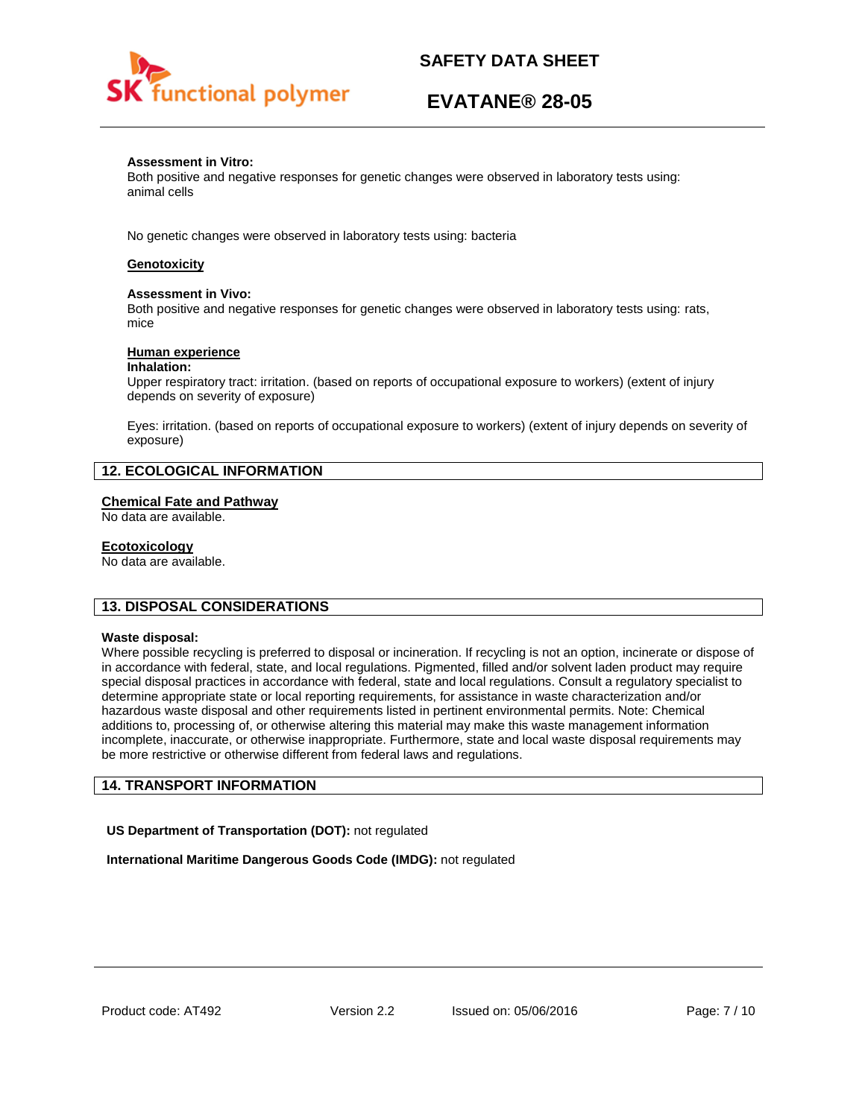

# **EVATANE® 28-05**

#### **Assessment in Vitro:**

Both positive and negative responses for genetic changes were observed in laboratory tests using: animal cells

No genetic changes were observed in laboratory tests using: bacteria

## **Genotoxicity**

#### **Assessment in Vivo:**

Both positive and negative responses for genetic changes were observed in laboratory tests using: rats, mice

#### **Human experience**

#### **Inhalation:**

Upper respiratory tract: irritation. (based on reports of occupational exposure to workers) (extent of injury depends on severity of exposure)

Eyes: irritation. (based on reports of occupational exposure to workers) (extent of injury depends on severity of exposure)

## **12. ECOLOGICAL INFORMATION**

#### **Chemical Fate and Pathway**

No data are available.

#### **Ecotoxicology**

No data are available.

### **13. DISPOSAL CONSIDERATIONS**

#### **Waste disposal:**

Where possible recycling is preferred to disposal or incineration. If recycling is not an option, incinerate or dispose of in accordance with federal, state, and local regulations. Pigmented, filled and/or solvent laden product may require special disposal practices in accordance with federal, state and local regulations. Consult a regulatory specialist to determine appropriate state or local reporting requirements, for assistance in waste characterization and/or hazardous waste disposal and other requirements listed in pertinent environmental permits. Note: Chemical additions to, processing of, or otherwise altering this material may make this waste management information incomplete, inaccurate, or otherwise inappropriate. Furthermore, state and local waste disposal requirements may be more restrictive or otherwise different from federal laws and regulations.

## **14. TRANSPORT INFORMATION**

**US Department of Transportation (DOT):** not regulated

**International Maritime Dangerous Goods Code (IMDG):** not regulated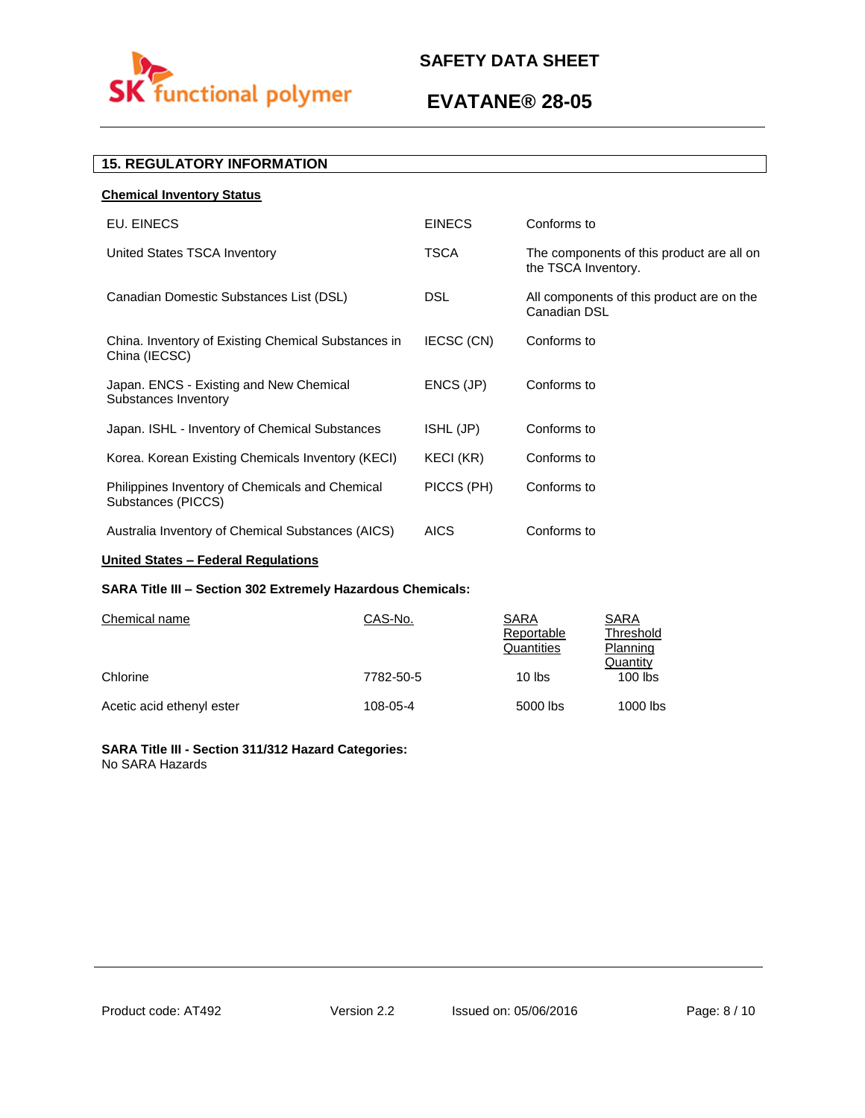

# **EVATANE® 28-05**

# **15. REGULATORY INFORMATION**

| <b>Chemical Inventory Status</b>                                      |                  |                                                                  |
|-----------------------------------------------------------------------|------------------|------------------------------------------------------------------|
| EU. EINECS                                                            | <b>EINECS</b>    | Conforms to                                                      |
| United States TSCA Inventory                                          | TSCA             | The components of this product are all on<br>the TSCA Inventory. |
| Canadian Domestic Substances List (DSL)                               | <b>DSL</b>       | All components of this product are on the<br>Canadian DSL        |
| China. Inventory of Existing Chemical Substances in<br>China (IECSC)  | IECSC (CN)       | Conforms to                                                      |
| Japan. ENCS - Existing and New Chemical<br>Substances Inventory       | ENCS (JP)        | Conforms to                                                      |
| Japan. ISHL - Inventory of Chemical Substances                        | ISHL (JP)        | Conforms to                                                      |
| Korea. Korean Existing Chemicals Inventory (KECI)                     | <b>KECI (KR)</b> | Conforms to                                                      |
| Philippines Inventory of Chemicals and Chemical<br>Substances (PICCS) | PICCS (PH)       | Conforms to                                                      |
| Australia Inventory of Chemical Substances (AICS)                     | <b>AICS</b>      | Conforms to                                                      |

## **United States – Federal Regulations**

## **SARA Title III – Section 302 Extremely Hazardous Chemicals:**

| Chemical name             | CAS-No.   | SARA<br>Reportable<br>Quantities | SARA<br>Threshold<br>Planning |
|---------------------------|-----------|----------------------------------|-------------------------------|
| Chlorine                  | 7782-50-5 | $10$ lbs                         | Quantity<br>$100$ lbs         |
| Acetic acid ethenyl ester | 108-05-4  | 5000 lbs                         | 1000 lbs                      |

### **SARA Title III - Section 311/312 Hazard Categories:**  No SARA Hazards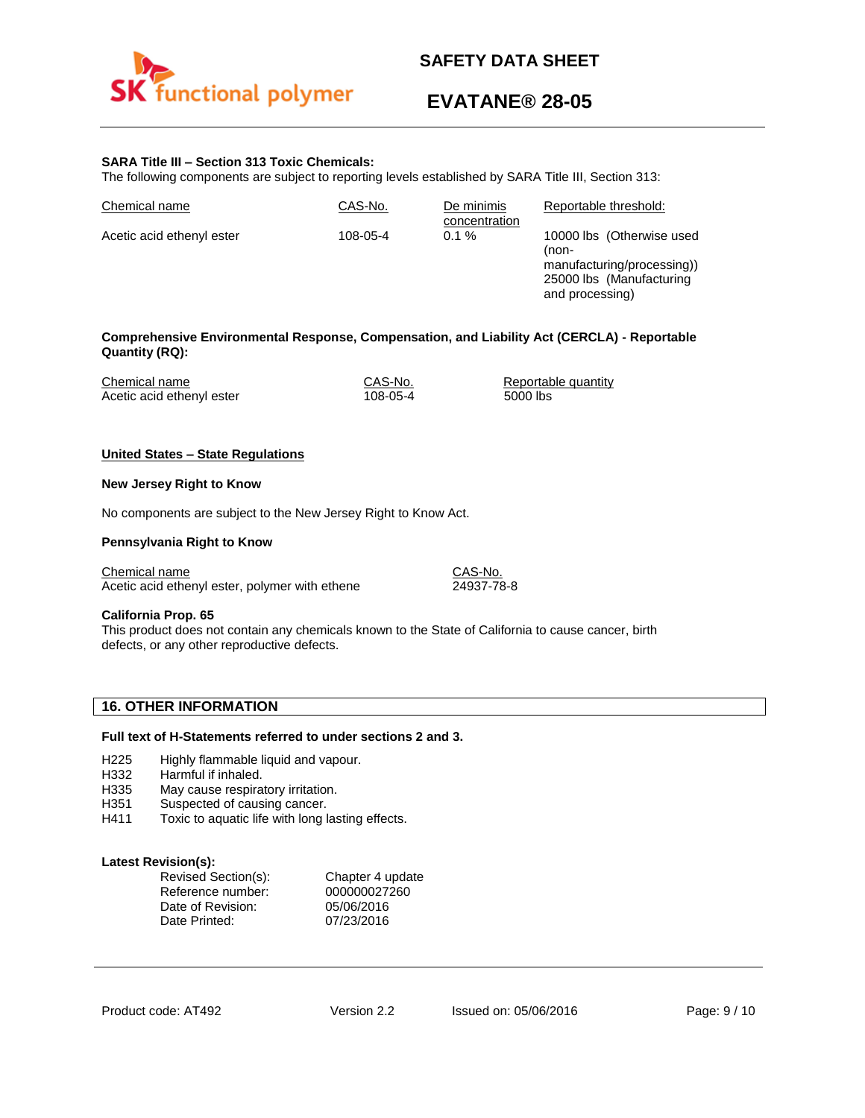

# **EVATANE® 28-05**

and processing)

### **SARA Title III – Section 313 Toxic Chemicals:**

The following components are subject to reporting levels established by SARA Title III, Section 313:

| Chemical name             | CAS-No.  | De minimis<br>concentration | Reportable threshold:                                  |
|---------------------------|----------|-----------------------------|--------------------------------------------------------|
| Acetic acid ethenyl ester | 108-05-4 | $0.1 \%$                    | 10000 lbs (Otherwise used<br>(non-                     |
|                           |          |                             | manufacturing/processing))<br>25000 lbs (Manufacturing |

#### **Comprehensive Environmental Response, Compensation, and Liability Act (CERCLA) - Reportable Quantity (RQ):**

| Chemical name             | CAS-No.  | Reportable quantity |
|---------------------------|----------|---------------------|
| Acetic acid ethenyl ester | 108-05-4 | 5000 lbs            |

#### **United States – State Regulations**

#### **New Jersey Right to Know**

No components are subject to the New Jersey Right to Know Act.

#### **Pennsylvania Right to Know**

Chemical name CAS-No. Acetic acid ethenyl ester, polymer with ethene 24937-78-8

#### **California Prop. 65**

This product does not contain any chemicals known to the State of California to cause cancer, birth defects, or any other reproductive defects.

## **16. OTHER INFORMATION**

#### **Full text of H-Statements referred to under sections 2 and 3.**

- H225 Highly flammable liquid and vapour.
- H332 Harmful if inhaled.
- H335 May cause respiratory irritation.
- H351 Suspected of causing cancer.
- H411 Toxic to aquatic life with long lasting effects.

#### **Latest Revision(s):**

| Revised Section(s): | Chapter 4 update |
|---------------------|------------------|
| Reference number:   | 000000027260     |
| Date of Revision:   | 05/06/2016       |
| Date Printed:       | 07/23/2016       |